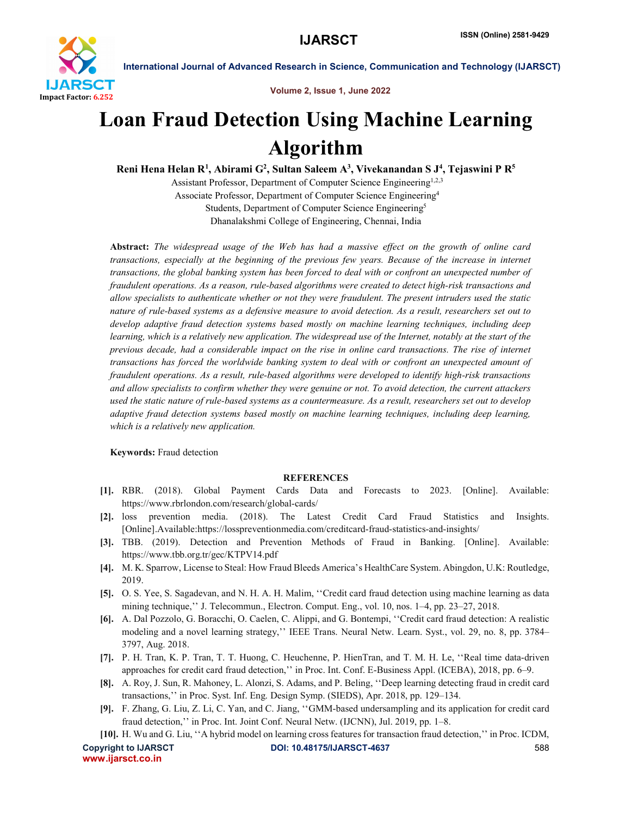

International Journal of Advanced Research in Science, Communication and Technology (IJARSCT)

Volume 2, Issue 1, June 2022

## Loan Fraud Detection Using Machine Learning Algorithm

Reni Hena Helan R<sup>1</sup>, Abirami G<sup>2</sup>, Sultan Saleem A<sup>3</sup>, Vivekanandan S J<sup>4</sup>, Tejaswini P R<sup>5</sup>

Assistant Professor, Department of Computer Science Engineering<sup>1,2,3</sup> Associate Professor, Department of Computer Science Engineering4 Students, Department of Computer Science Engineering<sup>5</sup> Dhanalakshmi College of Engineering, Chennai, India

Abstract: *The widespread usage of the Web has had a massive effect on the growth of online card transactions, especially at the beginning of the previous few years. Because of the increase in internet transactions, the global banking system has been forced to deal with or confront an unexpected number of fraudulent operations. As a reason, rule-based algorithms were created to detect high-risk transactions and allow specialists to authenticate whether or not they were fraudulent. The present intruders used the static nature of rule-based systems as a defensive measure to avoid detection. As a result, researchers set out to develop adaptive fraud detection systems based mostly on machine learning techniques, including deep learning, which is a relatively new application. The widespread use of the Internet, notably at the start of the previous decade, had a considerable impact on the rise in online card transactions. The rise of internet transactions has forced the worldwide banking system to deal with or confront an unexpected amount of fraudulent operations. As a result, rule-based algorithms were developed to identify high-risk transactions and allow specialists to confirm whether they were genuine or not. To avoid detection, the current attackers used the static nature of rule-based systems as a countermeasure. As a result, researchers set out to develop adaptive fraud detection systems based mostly on machine learning techniques, including deep learning, which is a relatively new application.*

Keywords: Fraud detection

## **REFERENCES**

- [1]. RBR. (2018). Global Payment Cards Data and Forecasts to 2023. [Online]. Available: https://www.rbrlondon.com/research/global-cards/
- [2]. loss prevention media. (2018). The Latest Credit Card Fraud Statistics and Insights. [Online].Available:https://losspreventionmedia.com/creditcard-fraud-statistics-and-insights/
- [3]. TBB. (2019). Detection and Prevention Methods of Fraud in Banking. [Online]. Available: https://www.tbb.org.tr/gec/KTPV14.pdf
- [4]. M. K. Sparrow, License to Steal: How Fraud Bleeds America's HealthCare System. Abingdon, U.K: Routledge, 2019.
- [5]. O. S. Yee, S. Sagadevan, and N. H. A. H. Malim, ''Credit card fraud detection using machine learning as data mining technique,'' J. Telecommun., Electron. Comput. Eng., vol. 10, nos. 1–4, pp. 23–27, 2018.
- [6]. A. Dal Pozzolo, G. Boracchi, O. Caelen, C. Alippi, and G. Bontempi, ''Credit card fraud detection: A realistic modeling and a novel learning strategy,'' IEEE Trans. Neural Netw. Learn. Syst., vol. 29, no. 8, pp. 3784– 3797, Aug. 2018.
- [7]. P. H. Tran, K. P. Tran, T. T. Huong, C. Heuchenne, P. HienTran, and T. M. H. Le, ''Real time data-driven approaches for credit card fraud detection,'' in Proc. Int. Conf. E-Business Appl. (ICEBA), 2018, pp. 6–9.
- [8]. A. Roy, J. Sun, R. Mahoney, L. Alonzi, S. Adams, and P. Beling, ''Deep learning detecting fraud in credit card transactions,'' in Proc. Syst. Inf. Eng. Design Symp. (SIEDS), Apr. 2018, pp. 129–134.
- [9]. F. Zhang, G. Liu, Z. Li, C. Yan, and C. Jiang, ''GMM-based undersampling and its application for credit card fraud detection,'' in Proc. Int. Joint Conf. Neural Netw. (IJCNN), Jul. 2019, pp. 1–8.
- Copyright to IJARSCT **DOI: 10.48175/IJARSCT-4637** 588 [10]. H. Wu and G. Liu, ''A hybrid model on learning cross features for transaction fraud detection,'' in Proc. ICDM,

www.ijarsct.co.in